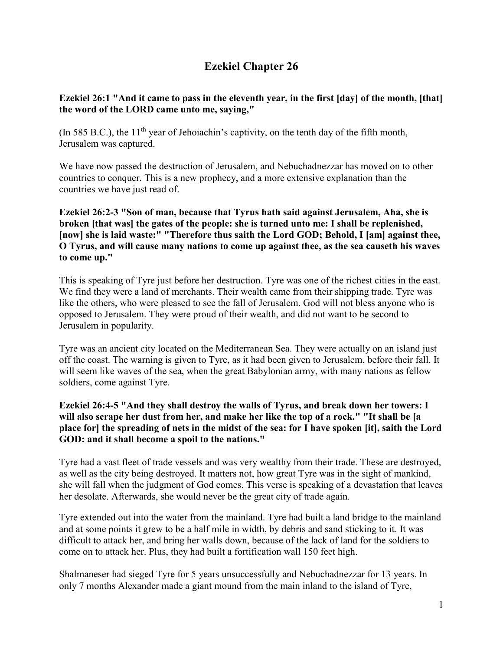# **Ezekiel Chapter 26**

### **Ezekiel 26:1 "And it came to pass in the eleventh year, in the first [day] of the month, [that] the word of the LORD came unto me, saying,"**

(In 585 B.C.), the  $11<sup>th</sup>$  year of Jehoiachin's captivity, on the tenth day of the fifth month, Jerusalem was captured.

We have now passed the destruction of Jerusalem, and Nebuchadnezzar has moved on to other countries to conquer. This is a new prophecy, and a more extensive explanation than the countries we have just read of.

#### **Ezekiel 26:2-3 "Son of man, because that Tyrus hath said against Jerusalem, Aha, she is broken [that was] the gates of the people: she is turned unto me: I shall be replenished, [now] she is laid waste:" "Therefore thus saith the Lord GOD; Behold, I [am] against thee, O Tyrus, and will cause many nations to come up against thee, as the sea causeth his waves to come up."**

This is speaking of Tyre just before her destruction. Tyre was one of the richest cities in the east. We find they were a land of merchants. Their wealth came from their shipping trade. Tyre was like the others, who were pleased to see the fall of Jerusalem. God will not bless anyone who is opposed to Jerusalem. They were proud of their wealth, and did not want to be second to Jerusalem in popularity.

Tyre was an ancient city located on the Mediterranean Sea. They were actually on an island just off the coast. The warning is given to Tyre, as it had been given to Jerusalem, before their fall. It will seem like waves of the sea, when the great Babylonian army, with many nations as fellow soldiers, come against Tyre.

#### **Ezekiel 26:4-5 "And they shall destroy the walls of Tyrus, and break down her towers: I will also scrape her dust from her, and make her like the top of a rock." "It shall be [a place for] the spreading of nets in the midst of the sea: for I have spoken [it], saith the Lord GOD: and it shall become a spoil to the nations."**

Tyre had a vast fleet of trade vessels and was very wealthy from their trade. These are destroyed, as well as the city being destroyed. It matters not, how great Tyre was in the sight of mankind, she will fall when the judgment of God comes. This verse is speaking of a devastation that leaves her desolate. Afterwards, she would never be the great city of trade again.

Tyre extended out into the water from the mainland. Tyre had built a land bridge to the mainland and at some points it grew to be a half mile in width, by debris and sand sticking to it. It was difficult to attack her, and bring her walls down, because of the lack of land for the soldiers to come on to attack her. Plus, they had built a fortification wall 150 feet high.

Shalmaneser had sieged Tyre for 5 years unsuccessfully and Nebuchadnezzar for 13 years. In only 7 months Alexander made a giant mound from the main inland to the island of Tyre,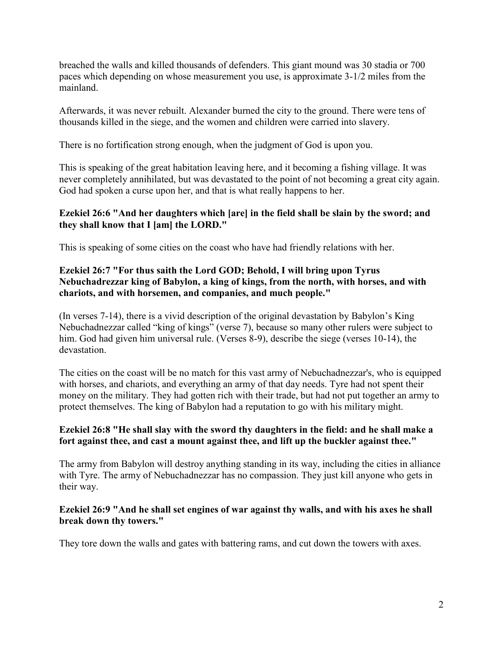breached the walls and killed thousands of defenders. This giant mound was 30 stadia or 700 paces which depending on whose measurement you use, is approximate 3-1/2 miles from the mainland.

Afterwards, it was never rebuilt. Alexander burned the city to the ground. There were tens of thousands killed in the siege, and the women and children were carried into slavery.

There is no fortification strong enough, when the judgment of God is upon you.

This is speaking of the great habitation leaving here, and it becoming a fishing village. It was never completely annihilated, but was devastated to the point of not becoming a great city again. God had spoken a curse upon her, and that is what really happens to her.

#### **Ezekiel 26:6 "And her daughters which [are] in the field shall be slain by the sword; and they shall know that I [am] the LORD."**

This is speaking of some cities on the coast who have had friendly relations with her.

#### **Ezekiel 26:7 "For thus saith the Lord GOD; Behold, I will bring upon Tyrus Nebuchadrezzar king of Babylon, a king of kings, from the north, with horses, and with chariots, and with horsemen, and companies, and much people."**

(In verses 7-14), there is a vivid description of the original devastation by Babylon's King Nebuchadnezzar called "king of kings" (verse 7), because so many other rulers were subject to him. God had given him universal rule. (Verses 8-9), describe the siege (verses 10-14), the devastation.

The cities on the coast will be no match for this vast army of Nebuchadnezzar's, who is equipped with horses, and chariots, and everything an army of that day needs. Tyre had not spent their money on the military. They had gotten rich with their trade, but had not put together an army to protect themselves. The king of Babylon had a reputation to go with his military might.

#### **Ezekiel 26:8 "He shall slay with the sword thy daughters in the field: and he shall make a fort against thee, and cast a mount against thee, and lift up the buckler against thee."**

The army from Babylon will destroy anything standing in its way, including the cities in alliance with Tyre. The army of Nebuchadnezzar has no compassion. They just kill anyone who gets in their way.

#### **Ezekiel 26:9 "And he shall set engines of war against thy walls, and with his axes he shall break down thy towers."**

They tore down the walls and gates with battering rams, and cut down the towers with axes.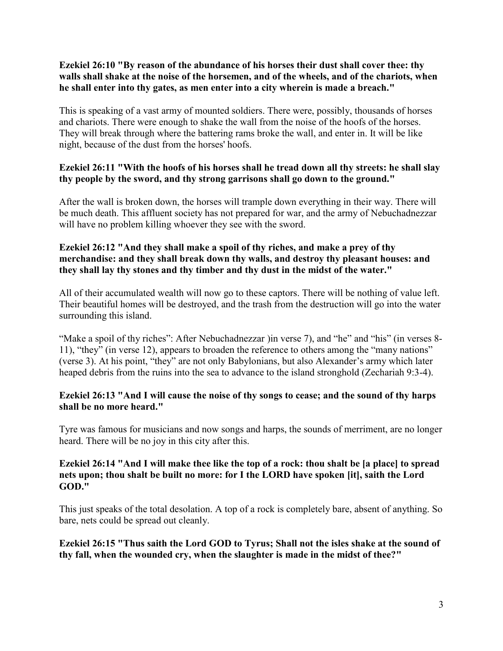#### **Ezekiel 26:10 "By reason of the abundance of his horses their dust shall cover thee: thy walls shall shake at the noise of the horsemen, and of the wheels, and of the chariots, when he shall enter into thy gates, as men enter into a city wherein is made a breach."**

This is speaking of a vast army of mounted soldiers. There were, possibly, thousands of horses and chariots. There were enough to shake the wall from the noise of the hoofs of the horses. They will break through where the battering rams broke the wall, and enter in. It will be like night, because of the dust from the horses' hoofs.

#### **Ezekiel 26:11 "With the hoofs of his horses shall he tread down all thy streets: he shall slay thy people by the sword, and thy strong garrisons shall go down to the ground."**

After the wall is broken down, the horses will trample down everything in their way. There will be much death. This affluent society has not prepared for war, and the army of Nebuchadnezzar will have no problem killing whoever they see with the sword.

#### **Ezekiel 26:12 "And they shall make a spoil of thy riches, and make a prey of thy merchandise: and they shall break down thy walls, and destroy thy pleasant houses: and they shall lay thy stones and thy timber and thy dust in the midst of the water."**

All of their accumulated wealth will now go to these captors. There will be nothing of value left. Their beautiful homes will be destroyed, and the trash from the destruction will go into the water surrounding this island.

"Make a spoil of thy riches": After Nebuchadnezzar ) in verse 7), and "he" and "his" (in verses 8-11), "they" (in verse 12), appears to broaden the reference to others among the "many nations" (verse 3). At his point, "they" are not only Babylonians, but also Alexander's army which later heaped debris from the ruins into the sea to advance to the island stronghold (Zechariah 9:3-4).

#### **Ezekiel 26:13 "And I will cause the noise of thy songs to cease; and the sound of thy harps shall be no more heard."**

Tyre was famous for musicians and now songs and harps, the sounds of merriment, are no longer heard. There will be no joy in this city after this.

#### **Ezekiel 26:14 "And I will make thee like the top of a rock: thou shalt be [a place] to spread nets upon; thou shalt be built no more: for I the LORD have spoken [it], saith the Lord GOD."**

This just speaks of the total desolation. A top of a rock is completely bare, absent of anything. So bare, nets could be spread out cleanly.

**Ezekiel 26:15 "Thus saith the Lord GOD to Tyrus; Shall not the isles shake at the sound of thy fall, when the wounded cry, when the slaughter is made in the midst of thee?"**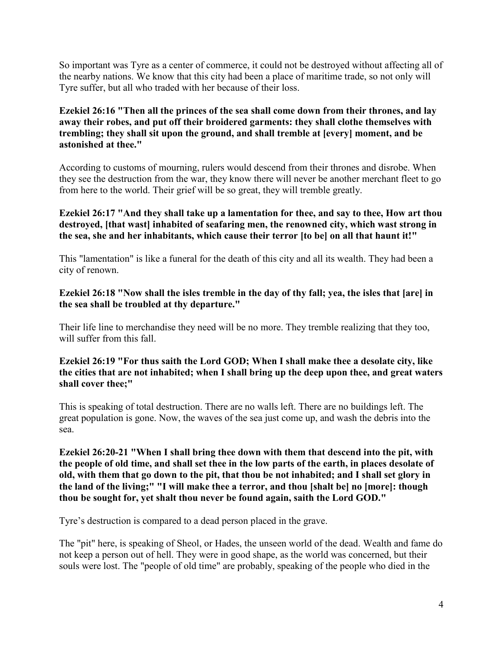So important was Tyre as a center of commerce, it could not be destroyed without affecting all of the nearby nations. We know that this city had been a place of maritime trade, so not only will Tyre suffer, but all who traded with her because of their loss.

#### **Ezekiel 26:16 "Then all the princes of the sea shall come down from their thrones, and lay away their robes, and put off their broidered garments: they shall clothe themselves with trembling; they shall sit upon the ground, and shall tremble at [every] moment, and be astonished at thee."**

According to customs of mourning, rulers would descend from their thrones and disrobe. When they see the destruction from the war, they know there will never be another merchant fleet to go from here to the world. Their grief will be so great, they will tremble greatly.

#### **Ezekiel 26:17 "And they shall take up a lamentation for thee, and say to thee, How art thou destroyed, [that wast] inhabited of seafaring men, the renowned city, which wast strong in the sea, she and her inhabitants, which cause their terror [to be] on all that haunt it!"**

This "lamentation" is like a funeral for the death of this city and all its wealth. They had been a city of renown.

#### **Ezekiel 26:18 "Now shall the isles tremble in the day of thy fall; yea, the isles that [are] in the sea shall be troubled at thy departure."**

Their life line to merchandise they need will be no more. They tremble realizing that they too, will suffer from this fall.

#### **Ezekiel 26:19 "For thus saith the Lord GOD; When I shall make thee a desolate city, like the cities that are not inhabited; when I shall bring up the deep upon thee, and great waters shall cover thee;"**

This is speaking of total destruction. There are no walls left. There are no buildings left. The great population is gone. Now, the waves of the sea just come up, and wash the debris into the sea.

**Ezekiel 26:20-21 "When I shall bring thee down with them that descend into the pit, with the people of old time, and shall set thee in the low parts of the earth, in places desolate of old, with them that go down to the pit, that thou be not inhabited; and I shall set glory in the land of the living;" "I will make thee a terror, and thou [shalt be] no [more]: though thou be sought for, yet shalt thou never be found again, saith the Lord GOD."**

Tyre's destruction is compared to a dead person placed in the grave.

The "pit" here, is speaking of Sheol, or Hades, the unseen world of the dead. Wealth and fame do not keep a person out of hell. They were in good shape, as the world was concerned, but their souls were lost. The "people of old time" are probably, speaking of the people who died in the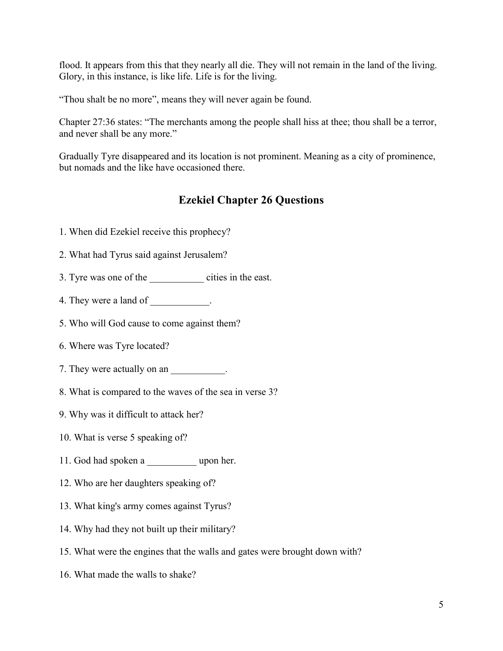flood. It appears from this that they nearly all die. They will not remain in the land of the living. Glory, in this instance, is like life. Life is for the living.

"Thou shalt be no more", means they will never again be found.

Chapter 27:36 states: "The merchants among the people shall hiss at thee; thou shall be a terror, and never shall be any more."

Gradually Tyre disappeared and its location is not prominent. Meaning as a city of prominence, but nomads and the like have occasioned there.

## **Ezekiel Chapter 26 Questions**

- 1. When did Ezekiel receive this prophecy?
- 2. What had Tyrus said against Jerusalem?
- 3. Tyre was one of the cities in the east.
- 4. They were a land of  $\qquad \qquad$ .
- 5. Who will God cause to come against them?
- 6. Where was Tyre located?
- 7. They were actually on an  $\blacksquare$
- 8. What is compared to the waves of the sea in verse 3?
- 9. Why was it difficult to attack her?
- 10. What is verse 5 speaking of?
- 11. God had spoken a zupon her.
- 12. Who are her daughters speaking of?
- 13. What king's army comes against Tyrus?
- 14. Why had they not built up their military?
- 15. What were the engines that the walls and gates were brought down with?
- 16. What made the walls to shake?